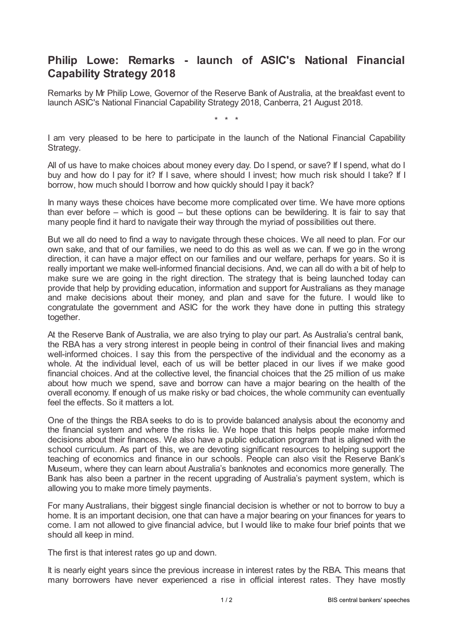## **Philip Lowe: Remarks - launch of ASIC's National Financial Capability Strategy 2018**

Remarks by Mr Philip Lowe, Governor of the Reserve Bank of Australia, at the breakfast event to launch ASIC's National Financial Capability Strategy 2018, Canberra, 21 August 2018.

\* \* \*

I am very pleased to be here to participate in the launch of the National Financial Capability Strategy.

All of us have to make choices about money every day. Do I spend, or save? If I spend, what do I buy and how do I pay for it? If I save, where should I invest; how much risk should I take? If I borrow, how much should I borrow and how quickly should I pay it back?

In many ways these choices have become more complicated over time. We have more options than ever before – which is good – but these options can be bewildering. It is fair to say that many people find it hard to navigate their way through the myriad of possibilities out there.

But we all do need to find a way to navigate through these choices. We all need to plan. For our own sake, and that of our families, we need to do this as well as we can. If we go in the wrong direction, it can have a major effect on our families and our welfare, perhaps for years. So it is really important we make well-informed financial decisions. And, we can all do with a bit of help to make sure we are going in the right direction. The strategy that is being launched today can provide that help by providing education, information and support for Australians as they manage and make decisions about their money, and plan and save for the future. I would like to congratulate the government and ASIC for the work they have done in putting this strategy together.

At the Reserve Bank of Australia, we are also trying to play our part. As Australia's central bank, the RBA has a very strong interest in people being in control of their financial lives and making well-informed choices. I say this from the perspective of the individual and the economy as a whole. At the individual level, each of us will be better placed in our lives if we make good financial choices. And at the collective level, the financial choices that the 25 million of us make about how much we spend, save and borrow can have a major bearing on the health of the overall economy. If enough of us make risky or bad choices, the whole community can eventually feel the effects. So it matters a lot.

One of the things the RBA seeks to do is to provide balanced analysis about the economy and the financial system and where the risks lie. We hope that this helps people make informed decisions about their finances. We also have a public education program that is aligned with the school curriculum. As part of this, we are devoting significant resources to helping support the teaching of economics and finance in our schools. People can also visit the Reserve Bank's Museum, where they can learn about Australia's banknotes and economics more generally. The Bank has also been a partner in the recent upgrading of Australia's payment system, which is allowing you to make more timely payments.

For many Australians, their biggest single financial decision is whether or not to borrow to buy a home. It is an important decision, one that can have a major bearing on your finances for years to come. I am not allowed to give financial advice, but I would like to make four brief points that we should all keep in mind.

The first is that interest rates go up and down.

It is nearly eight years since the previous increase in interest rates by the RBA. This means that many borrowers have never experienced a rise in official interest rates. They have mostly